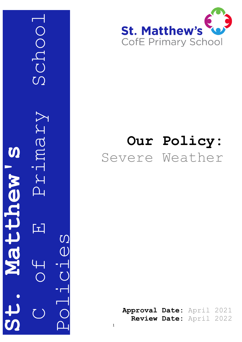C Grimary School Schoo Videur S **St. Matthew's** wentere  $\Delta_{\perp}$ 囗 Policies



# **Our Policy:** Severe Weather

Approval Date: April 2021 **Review Date:** April 202 2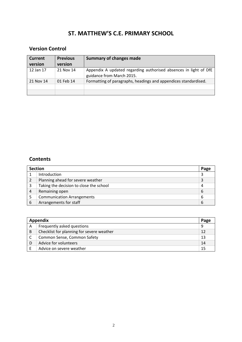# **ST. MATTHEW'S C.E. PRIMARY SCHOOL**

# **Version Control**

| <b>Current</b><br>version | <b>Previous</b><br>version | <b>Summary of changes made</b>                                                                |
|---------------------------|----------------------------|-----------------------------------------------------------------------------------------------|
| 12 Jan 17                 | 21 Nov 14                  | Appendix A updated regarding authorised absences in light of DfE<br>guidance from March 2015. |
| 21 Nov 14                 | 01 Feb 14                  | Formatting of paragraphs, headings and appendices standardised.                               |
|                           |                            |                                                                                               |
|                           |                            |                                                                                               |

#### **Contents**

| <b>Section</b> |                                         | Page |
|----------------|-----------------------------------------|------|
|                | Introduction                            | 3    |
|                | Planning ahead for severe weather       | 3    |
| 3              | Taking the decision to close the school | 4    |
| 4              | Remaining open                          | 6    |
|                | <b>Communication Arrangements</b>       | 6    |
| 6              | Arrangements for staff                  | 6    |

| Appendix |                                           |    |
|----------|-------------------------------------------|----|
| Α        | Frequently asked questions                | 9  |
| B        | Checklist for planning for severe weather | 12 |
|          | Common Sense, Common Safety               | 13 |
| D        | Advice for volunteers                     | 14 |
|          | Advice on severe weather                  | 15 |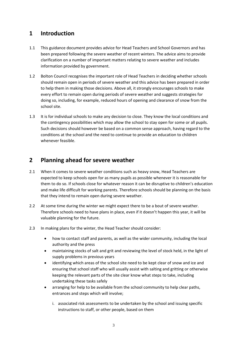# **1 Introduction**

- 1.1 This guidance document provides advice for Head Teachers and School Governors and has been prepared following the severe weather of recent winters. The advice aims to provide clarification on a number of important matters relating to severe weather and includes information provided by government.
- 1.2 Bolton Council recognises the important role of Head Teachers in deciding whether schools should remain open in periods of severe weather and this advice has been prepared in order to help them in making those decisions. Above all, it strongly encourages schools to make every effort to remain open during periods of severe weather and suggests strategies for doing so, including, for example, reduced hours of opening and clearance of snow from the school site.
- 1.3 It is for individual schools to make any decision to close. They know the local conditions and the contingency possibilities which may allow the school to stay open for some or all pupils. Such decisions should however be based on a common sense approach, having regard to the conditions at the school and the need to continue to provide an education to children whenever feasible.

### **2 Planning ahead for severe weather**

- 2.1 When it comes to severe weather conditions such as heavy snow, Head Teachers are expected to keep schools open for as many pupils as possible whenever it is reasonable for them to do so. If schools close for whatever reason it can be disruptive to children's education and make life difficult for working parents. Therefore schools should be planning on the basis that they intend to remain open during severe weather.
- 2.2 At some time during the winter we might expect there to be a bout of severe weather. Therefore schools need to have plans in place, even if it doesn't happen this year, it will be valuable planning for the future.
- 2.3 In making plans for the winter, the Head Teacher should consider:
	- how to contact staff and parents, as well as the wider community, including the local authority and the press
	- maintaining stocks of salt and grit and reviewing the level of stock held, in the light of supply problems in previous years
	- identifying which areas of the school site need to be kept clear of snow and ice and ensuring that school staff who will usually assist with salting and gritting or otherwise keeping the relevant parts of the site clear know what steps to take, including undertaking these tasks safely
	- arranging for help to be available from the school community to help clear paths, entrances and steps which will involve;
		- i. associated risk assessments to be undertaken by the school and issuing specific instructions to staff, or other people, based on them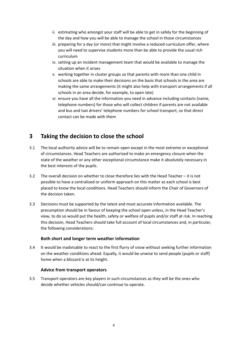- ii. estimating who amongst your staff will be able to get in safely for the beginning of the day and how you will be able to manage the school in those circumstances
- iii. preparing for a day (or more) that might involve a reduced curriculum offer, where you will need to supervise students more than be able to provide the usual rich curriculum
- iv. setting up an incident management team that would be available to manage the situation when it arises
- v. working together in cluster groups so that parents with more than one child in schools are able to make their decisions on the basis that schools in the area are making the same arrangements (it might also help with transport arrangements if all schools in an area decide, for example, to open late)
- vi. ensure you have all the information you need in advance including contacts (name, telephone numbers) for those who will collect children if parents are not available and bus and taxi drivers' telephone numbers for school transport, so that direct contact can be made with them

# **3 Taking the decision to close the school**

- 3.1 The local authority advice will be to remain open except in the most extreme or exceptional of circumstances. Head Teachers are authorised to make an emergency closure when the state of the weather or any other exceptional circumstance make it absolutely necessary in the best interests of the pupils.
- 3.2 The overall decision on whether to close therefore lies with the Head Teacher it is not possible to have a centralised or uniform approach on this matter as each school is best placed to know the local conditions. Head Teachers should inform the Chair of Governors of the decision taken.
- 3.3 Decisions must be supported by the latest and most accurate information available. The presumption should be in favour of keeping the school open unless, in the Head Teacher's view, to do so would put the health, safety or welfare of pupils and/or staff at risk. In reaching this decision, Head Teachers should take full account of local circumstances and, in particular, the following considerations:

#### **Both short and longer term weather information**

3.4 It would be inadvisable to react to the first flurry of snow without seeking further information on the weather conditions ahead. Equally, it would be unwise to send people (pupils or staff) home when a blizzard is at its height.

#### **Advice from transport operators**

3.5 Transport operators are key players in such circumstances as they will be the ones who decide whether vehicles should/can continue to operate.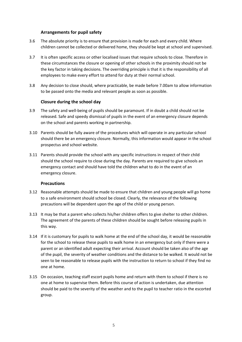#### **Arrangements for pupil safety**

- 3.6 The absolute priority is to ensure that provision is made for each and every child. Where children cannot be collected or delivered home, they should be kept at school and supervised.
- 3.7 It is often specific access or other localised issues that require schools to close. Therefore in these circumstances the closure or opening of other schools in the proximity should not be the key factor in taking decisions. The overriding principle is that it is the responsibility of all employees to make every effort to attend for duty at their normal school.
- 3.8 Any decision to close should, where practicable, be made before 7.00am to allow information to be passed onto the media and relevant people as soon as possible.

#### **Closure during the school day**

- 3.9 The safety and well-being of pupils should be paramount. If in doubt a child should not be released. Safe and speedy dismissal of pupils in the event of an emergency closure depends on the school and parents working in partnership.
- 3.10 Parents should be fully aware of the procedures which will operate in any particular school should there be an emergency closure. Normally, this information would appear in the school prospectus and school website.
- 3.11 Parents should provide the school with any specific instructions in respect of their child should the school require to close during the day. Parents are required to give schools an emergency contact and should have told the children what to do in the event of an emergency closure.

#### **Precautions**

- 3.12 Reasonable attempts should be made to ensure that children and young people will go home to a safe environment should school be closed. Clearly, the relevance of the following precautions will be dependent upon the age of the child or young person.
- 3.13 It may be that a parent who collects his/her children offers to give shelter to other children. The agreement of the parents of these children should be sought before releasing pupils in this way.
- 3.14 If it is customary for pupils to walk home at the end of the school day, it would be reasonable for the school to release these pupils to walk home in an emergency but only if there were a parent or an identified adult expecting their arrival. Account should be taken also of the age of the pupil, the severity of weather conditions and the distance to be walked. It would not be seen to be reasonable to release pupils with the instruction to return to school if they find no one at home.
- 3.15 On occasion, teaching staff escort pupils home and return with them to school if there is no one at home to supervise them. Before this course of action is undertaken, due attention should be paid to the severity of the weather and to the pupil to teacher ratio in the escorted group.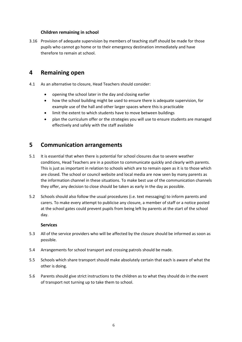#### **Children remaining in school**

3.16 Provision of adequate supervision by members of teaching staff should be made for those pupils who cannot go home or to their emergency destination immediately and have therefore to remain at school.

#### **4 Remaining open**

- 4.1 As an alternative to closure, Head Teachers should consider:
	- opening the school later in the day and closing earlier
	- how the school building might be used to ensure there is adequate supervision, for example use of the hall and other larger spaces where this is practicable
	- limit the extent to which students have to move between buildings
	- plan the curriculum offer or the strategies you will use to ensure students are managed effectively and safely with the staff available

### **5 Communication arrangements**

- 5.1 It is essential that when there is potential for school closures due to severe weather conditions, Head Teachers are in a position to communicate quickly and clearly with parents. This is just as important in relation to schools which are to remain open as it is to those which are closed. The school or council website and local media are now seen by many parents as the information channel in these situations. To make best use of the communication channels they offer, any decision to close should be taken as early in the day as possible.
- 5.2 Schools should also follow the usual procedures (i.e. text messaging) to inform parents and carers. To make every attempt to publicise any closure, a member of staff or a notice posted at the school gates could prevent pupils from being left by parents at the start of the school day.

#### **Services**

- 5.3 All of the service providers who will be affected by the closure should be informed as soon as possible.
- 5.4 Arrangements for school transport and crossing patrols should be made.
- 5.5 Schools which share transport should make absolutely certain that each is aware of what the other is doing.
- 5.6 Parents should give strict instructions to the children as to what they should do in the event of transport not turning up to take them to school.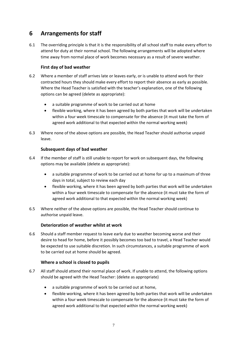# **6 Arrangements for staff**

6.1 The overriding principle is that it is the responsibility of all school staff to make every effort to attend for duty at their normal school. The following arrangements will be adopted where time away from normal place of work becomes necessary as a result of severe weather.

#### **First day of bad weather**

- 6.2 Where a member of staff arrives late or leaves early, or is unable to attend work for their contracted hours they should make every effort to report their absence as early as possible. Where the Head Teacher is satisfied with the teacher's explanation, one of the following options can be agreed (delete as appropriate):
	- a suitable programme of work to be carried out at home
	- flexible working, where it has been agreed by both parties that work will be undertaken within a four week timescale to compensate for the absence (it must take the form of agreed work additional to that expected within the normal working week)
- 6.3 Where none of the above options are possible, the Head Teacher should authorise unpaid leave.

#### **Subsequent days of bad weather**

- 6.4 If the member of staff is still unable to report for work on subsequent days, the following options may be available (delete as appropriate):
	- a suitable programme of work to be carried out at home for up to a maximum of three days in total, subject to review each day
	- flexible working, where it has been agreed by both parties that work will be undertaken within a four week timescale to compensate for the absence (it must take the form of agreed work additional to that expected within the normal working week)
- 6.5 Where neither of the above options are possible, the Head Teacher should continue to authorise unpaid leave.

#### **Deterioration of weather whilst at work**

6.6 Should a staff member request to leave early due to weather becoming worse and their desire to head for home, before it possibly becomes too bad to travel, a Head Teacher would be expected to use suitable discretion. In such circumstances, a suitable programme of work to be carried out at home should be agreed.

#### **Where a school is closed to pupils**

- 6.7 All staff should attend their normal place of work. If unable to attend, the following options should be agreed with the Head Teacher: (delete as appropriate)
	- a suitable programme of work to be carried out at home,
	- flexible working, where it has been agreed by both parties that work will be undertaken within a four week timescale to compensate for the absence (it must take the form of agreed work additional to that expected within the normal working week)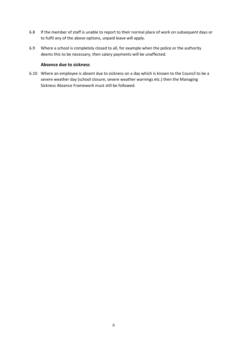- 6.8 If the member of staff is unable to report to their normal place of work on subsequent days or to fulfil any of the above options, unpaid leave will apply.
- 6.9 Where a school is completely closed to all, for example when the police or the authority deems this to be necessary, then salary payments will be unaffected.

#### **Absence due to sickness**

6.10 Where an employee is absent due to sickness on a day which is known to the Council to be a severe weather day (school closure, severe weather warnings etc.) then the Managing Sickness Absence Framework must still be followed.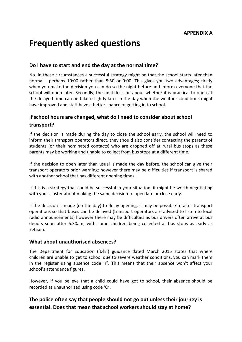# **Frequently asked questions**

#### **Do I have to start and end the day at the normal time?**

No. In these circumstances a successful strategy might be that the school starts later than normal - perhaps 10:00 rather than 8:30 or 9:00. This gives you two advantages; firstly when you make the decision you can do so the night before and inform everyone that the school will open later. Secondly, the final decision about whether it is practical to open at the delayed time can be taken slightly later in the day when the weather conditions might have improved and staff have a better chance of getting in to school.

# **If school hours are changed, what do I need to consider about school transport?**

If the decision is made during the day to close the school early, the school will need to inform their transport operators direct, they should also consider contacting the parents of students (or their nominated contacts) who are dropped off at rural bus stops as these parents may be working and unable to collect from bus stops at a different time.

If the decision to open later than usual is made the day before, the school can give their transport operators prior warning; however there may be difficulties if transport is shared with another school that has different opening times.

If this is a strategy that could be successful in your situation, it might be worth negotiating with your cluster about making the same decision to open late or close early.

If the decision is made (on the day) to delay opening, it may be possible to alter transport operations so that buses can be delayed (transport operators are advised to listen to local radio announcements) however there may be difficulties as bus drivers often arrive at bus depots soon after 6.30am, with some children being collected at bus stops as early as 7.45am.

#### **What about unauthorised absences?**

The Department for Education ('DfE') guidance dated March 2015 states that where children are unable to get to school due to severe weather conditions, you can mark them in the register using absence code 'Y'. This means that their absence won't affect your school's attendance figures.

However, if you believe that a child could have got to school, their absence should be recorded as unauthorized using code 'O'.

# **The police often say that people should not go out unless their journey is essential. Does that mean that school workers should stay at home?**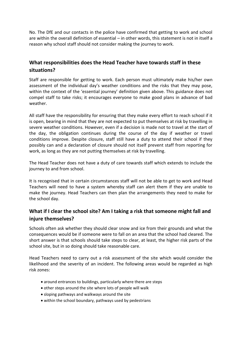No. The DfE and our contacts in the police have confirmed that getting to work and school are within the overall definition of essential – in other words, this statement is not in itself a reason why school staff should not consider making the journey to work.

### **What responsibilities does the Head Teacher have towards staff in these situations?**

Staff are responsible for getting to work. Each person must ultimately make his/her own assessment of the individual day's weather conditions and the risks that they may pose, within the context of the 'essential journey' definition given above. This guidance does not compel staff to take risks; it encourages everyone to make good plans in advance of bad weather.

All staff have the responsibility for ensuring that they make every effort to reach school if it is open, bearing in mind that they are not expected to put themselves at risk by travelling in severe weather conditions. However, even if a decision is made not to travel at the start of the day, the obligation continues during the course of the day if weather or travel conditions improve. Despite closure, staff still have a duty to attend their school if they possibly can and a declaration of closure should not itself prevent staff from reporting for work, as long as they are not putting themselves at risk by travelling.

The Head Teacher does not have a duty of care towards staff which extends to include the journey to and from school.

It is recognised that in certain circumstances staff will not be able to get to work and Head Teachers will need to have a system whereby staff can alert them if they are unable to make the journey. Head Teachers can then plan the arrangements they need to make for the school day.

### **What if I clear the school site? Am I taking a risk that someone might fall and injure themselves?**

Schools often ask whether they should clear snow and ice from their grounds and what the consequences would be if someone were to fall on an area that the school had cleared. The short answer is that schools should take steps to clear, at least, the higher risk parts of the school site, but in so doing should take reasonable care.

Head Teachers need to carry out a risk assessment of the site which would consider the likelihood and the severity of an incident. The following areas would be regarded as high risk zones:

- around entrances to buildings, particularly where there are steps
- other steps around the site where lots of people will walk
- sloping pathways and walkways around the site
- within the school boundary, pathways used by pedestrians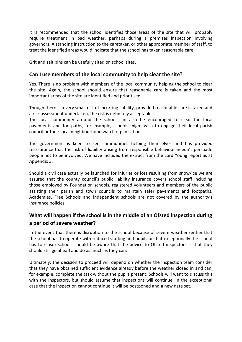It is recommended that the school identifies those areas of the site that will probably require treatment in bad weather, perhaps during a premises inspection involving governors. A standing instruction to the caretaker, or other appropriate member of staff, to treat the identified areas would indicate that the school has taken reasonable care.

Grit and salt bins can be usefully sited on school sites.

### **Can I use members of the local community to help clear the site?**

Yes. There is no problem with members of the local community helping the school to clear the site. Again, the school should ensure that reasonable care is taken and the most important areas of the site are identified and prioritised.

Though there is a very small risk of incurring liability, provided reasonable care is taken and a risk assessment undertaken, the risk is definitely acceptable.

The local community around the school can also be encouraged to clear the local pavements and footpaths; for example, schools might wish to engage their local parish council or their local neighbourhood watch organisation.

The government is keen to see communities helping themselves and has provided reassurance that the risk of liability arising from responsible behaviour needn't persuade people not to be involved. We have included the extract from the Lord Young report as at Appendix 3.

Should a civil case actually be launched for injuries or loss resulting from snow/ice we are assured that the county council's public liability insurance covers school staff including those employed by Foundation schools, registered volunteers and members of the public assisting their parish and town councils to maintain safer pavements and footpaths. Academies, Free Schools and independent schools are not covered by the authority's insurance policies.

# **What will happen if the school is in the middle of an Ofsted inspection during a period of severe weather?**

In the event that there is disruption to the school because of severe weather (either that the school has to operate with reduced staffing and pupils or that exceptionally the school has to close) schools should be aware that the advice to Ofsted inspectors is that they should still go ahead and do as much as they can.

Ultimately, the decision to proceed will depend on whether the Inspection team consider that they have obtained sufficient evidence already before the weather closed in and can, for example, complete the task without the pupils present. Schools will want to discuss this with the Inspectors, but should assume that inspections will continue. In the exceptional case that the inspection cannot continue it will be postponed and a new date set.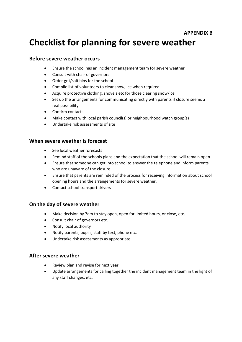# **Checklist for planning for severe weather**

#### **Before severe weather occurs**

- Ensure the school has an incident management team for severe weather
- Consult with chair of governors
- Order grit/salt bins for the school
- Compile list of volunteers to clear snow, ice when required
- Acquire protective clothing, shovels etc for those clearing snow/ice
- Set up the arrangements for communicating directly with parents if closure seems a real possibility
- Confirm contacts
- Make contact with local parish council(s) or neighbourhood watch group(s)
- Undertake risk assessments of site

#### **When severe weather is forecast**

- See local weather forecasts
- Remind staff of the schools plans and the expectation that the school will remain open
- Ensure that someone can get into school to answer the telephone and inform parents who are unaware of the closure.
- Ensure that parents are reminded of the process for receiving information about school opening hours and the arrangements for severe weather.
- Contact school transport drivers

#### **On the day of severe weather**

- Make decision by 7am to stay open, open for limited hours, or close, etc.
- Consult chair of governors etc.
- Notify local authority
- Notify parents, pupils, staff by text, phone etc.
- Undertake risk assessments as appropriate.

#### **After severe weather**

- Review plan and revise for next year
- Update arrangements for calling together the incident management team in the light of any staff changes, etc.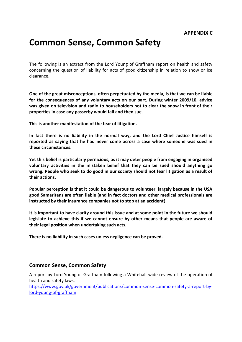# **Common Sense, Common Safety**

The following is an extract from the Lord Young of Graffham report on health and safety concerning the question of liability for acts of good citizenship in relation to snow or ice clearance.

**One of the great misconceptions, often perpetuated by the media, is that we can be liable for the consequences of any voluntary acts on our part. During winter 2009/10, advice was given on television and radio to householders not to clear the snow in front of their properties in case any passerby would fall and then sue.** 

**This is another manifestation of the fear of litigation.** 

**In fact there is no liability in the normal way, and the Lord Chief Justice himself is reported as saying that he had never come across a case where someone was sued in these circumstances.** 

**Yet this belief is particularly pernicious, as it may deter people from engaging in organised voluntary activities in the mistaken belief that they can be sued should anything go wrong. People who seek to do good in our society should not fear litigation as a result of their actions.** 

**Popular perception is that it could be dangerous to volunteer, largely because in the USA good Samaritans are often liable (and in fact doctors and other medical professionals are instructed by their insurance companies not to stop at an accident).** 

**It is important to have clarity around this issue and at some point in the future we should legislate to achieve this if we cannot ensure by other means that people are aware of their legal position when undertaking such acts.** 

**There is no liability in such cases unless negligence can be proved.**

#### **Common Sense, Common Safety**

A report by Lord Young of Graffham following a Whitehall-wide review of the operation of health and safety laws.

[https://www.gov.uk/government/publications/common-sense-common-safety-a-report-by](https://www.gov.uk/government/publications/common-sense-common-safety-a-report-by-lord-young-of-graffham)[lord-young-of-graffham](https://www.gov.uk/government/publications/common-sense-common-safety-a-report-by-lord-young-of-graffham)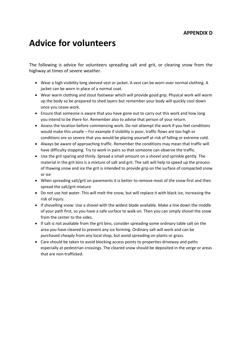#### **APPENDIX D**

# **Advice for volunteers**

The following is advice for volunteers spreading salt and grit, or clearing snow from the highway at times of severe weather.

- Wear a high visibility long sleeved vest or jacket. A vest can be worn over normal clothing. A jacket can be worn in place of a normal coat.
- Wear warm clothing and stout footwear which will provide good grip. Physical work will warm up the body so be prepared to shed layers but remember your body will quickly cool down once you cease work.
- Ensure that someone is aware that you have gone out to carry out this work and how long you intend to be there for. Remember also to advise that person of your return.
- Assess the location before commencing work. Do not attempt the work if you feel conditions would make this unsafe – For example if visibility is poor, traffic flows are too high or conditions are so severe that you would be placing yourself at risk of falling or extreme cold.
- Always be aware of approaching traffic. Remember the conditions may mean that traffic will have difficulty stopping. Try to work in pairs so that someone can observe the traffic.
- Use the grit sparing and thinly. Spread a small amount on a shovel and sprinkle gently. The material in the grit bins is a mixture of salt and grit. The salt will help to speed up the process of thawing snow and ice the grit is intended to provide grip on the surface of compacted snow or ice
- When spreading salt/grit on pavements it is better to remove most of the snow first and then spread the salt/grit mixture
- Do not use hot water. This will melt the snow, but will replace it with black ice, increasing the risk of injury.
- If shovelling snow: Use a shovel with the widest blade available. Make a line down the middle of your path first, so you have a safe surface to walk on. Then you can simply shovel the snow from the center to the sides.
- If salt is not available from the grit bins, consider spreading some ordinary table salt on the area you have cleared to prevent any ice forming. Ordinary salt will work and can be purchased cheaply from any local shop, but avoid spreading on plants or grass.
- Care should be taken to avoid blocking access points to properties driveway and paths especially at pedestrian crossings. The cleared snow should be deposited in the verge or areas that are non-trafficked.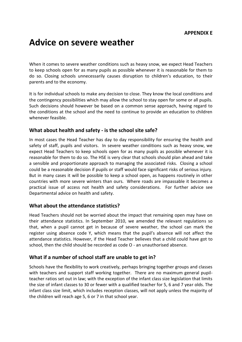# **Advice on severe weather**

When it comes to severe weather conditions such as heavy snow, we expect Head Teachers to keep schools open for as many pupils as possible whenever it is reasonable for them to do so. Closing schools unnecessarily causes disruption to children's education, to their parents and to the economy.

It is for individual schools to make any decision to close. They know the local conditions and the contingency possibilities which may allow the school to stay open for some or all pupils. Such decisions should however be based on a common sense approach, having regard to the conditions at the school and the need to continue to provide an education to children whenever feasible.

#### **What about health and safety - is the school site safe?**

In most cases the Head Teacher has day to day responsibility for ensuring the health and safety of staff, pupils and visitors. In severe weather conditions such as heavy snow, we expect Head Teachers to keep schools open for as many pupils as possible whenever it is reasonable for them to do so. The HSE is very clear that schools should plan ahead and take a sensible and proportionate approach to managing the associated risks. Closing a school could be a reasonable decision if pupils or staff would face significant risks of serious injury. But in many cases it will be possible to keep a school open, as happens routinely in other countries with more severe winters than ours. Where roads are impassable it becomes a practical issue of access not health and safety considerations. For further advice see Departmental advice on health and safety.

#### **What about the attendance statistics?**

Head Teachers should not be worried about the impact that remaining open may have on their attendance statistics. In September 2010, we amended the relevant regulations so that, when a pupil cannot get in because of severe weather, the school can mark the register using absence code Y, which means that the pupil's absence will not affect the attendance statistics. However, if the Head Teacher believes that a child could have got to school, then the child should be recorded as code O - an unauthorised absence.

#### **What if a number of school staff are unable to get in?**

Schools have the flexibility to work creatively, perhaps bringing together groups and classes with teachers and support staff working together. There are no maximum general pupilteacher ratios set out in law; with the exception of the infant class size legislation that limits the size of infant classes to 30 or fewer with a qualified teacher for 5, 6 and 7 year olds. The infant class size limit, which includes reception classes, will not apply unless the majority of the children will reach age 5, 6 or 7 in that school year.